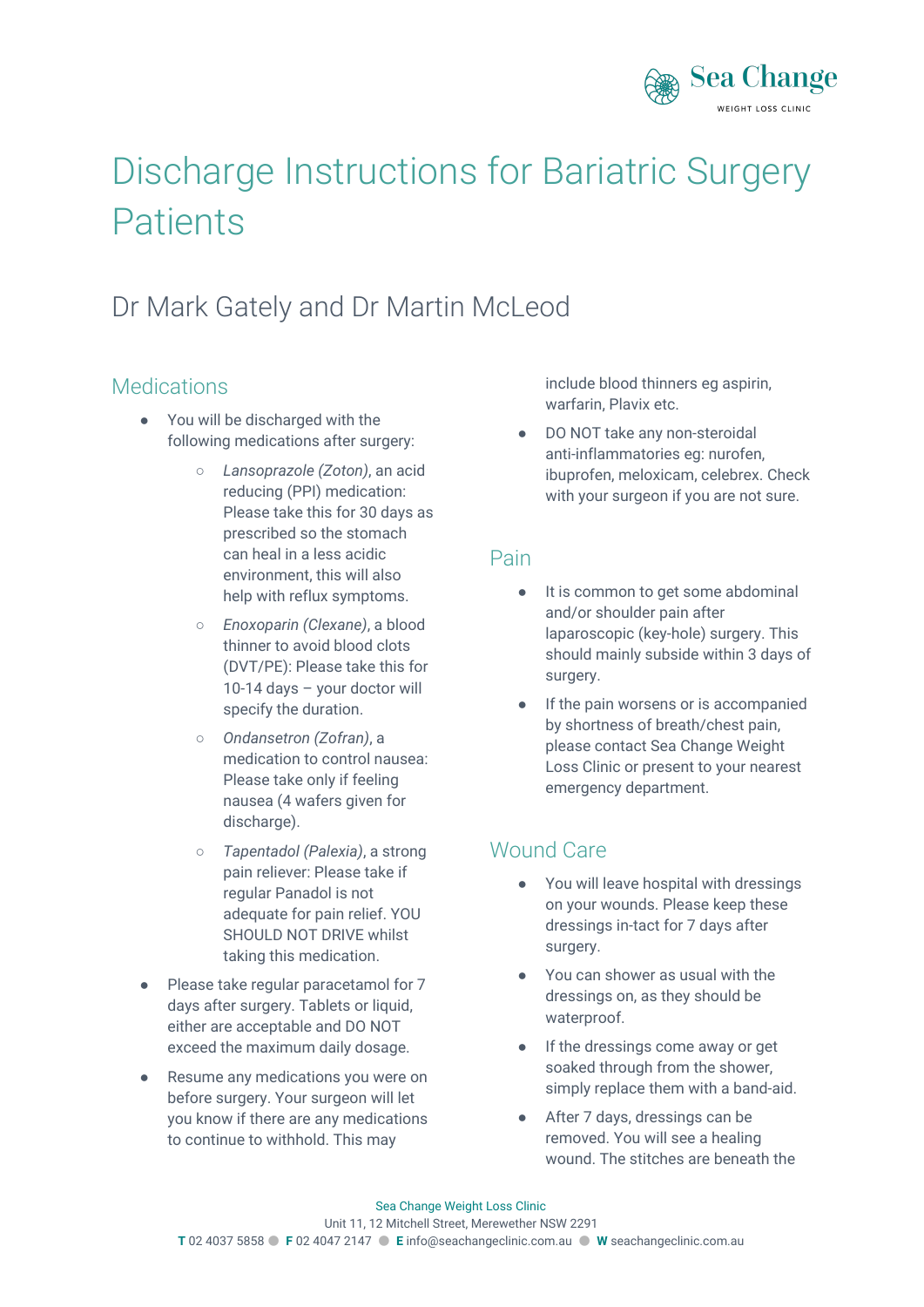

# Discharge Instructions for Bariatric Surgery **Patients**

# Dr Mark Gately and Dr Martin McLeod

#### **Medications**

- You will be discharged with the following medications after surgery:
	- *Lansoprazole (Zoton)*, an acid reducing (PPI) medication: Please take this for 30 days as prescribed so the stomach can heal in a less acidic environment, this will also help with reflux symptoms.
	- *Enoxoparin (Clexane)*, a blood thinner to avoid blood clots (DVT/PE): Please take this for 10-14 days – your doctor will specify the duration.
	- *Ondansetron (Zofran)*, a medication to control nausea: Please take only if feeling nausea (4 wafers given for discharge).
	- *Tapentadol (Palexia)*, a strong pain reliever: Please take if regular Panadol is not adequate for pain relief. YOU SHOULD NOT DRIVE whilst taking this medication.
- Please take regular paracetamol for 7 days after surgery. Tablets or liquid, either are acceptable and DO NOT exceed the maximum daily dosage.
- Resume any medications you were on before surgery. Your surgeon will let you know if there are any medications to continue to withhold. This may

include blood thinners eg aspirin, warfarin, Plavix etc.

DO NOT take any non-steroidal anti-inflammatories eg: nurofen, ibuprofen, meloxicam, celebrex. Check with your surgeon if you are not sure.

#### Pain

- It is common to get some abdominal and/or shoulder pain after laparoscopic (key-hole) surgery. This should mainly subside within 3 days of surgery.
- If the pain worsens or is accompanied by shortness of breath/chest pain, please contact Sea Change Weight Loss Clinic or present to your nearest emergency department.

#### Wound Care

- You will leave hospital with dressings on your wounds. Please keep these dressings in-tact for 7 days after surgery.
- You can shower as usual with the dressings on, as they should be waterproof.
- If the dressings come away or get soaked through from the shower, simply replace them with a band-aid.
- After 7 days, dressings can be removed. You will see a healing wound. The stitches are beneath the